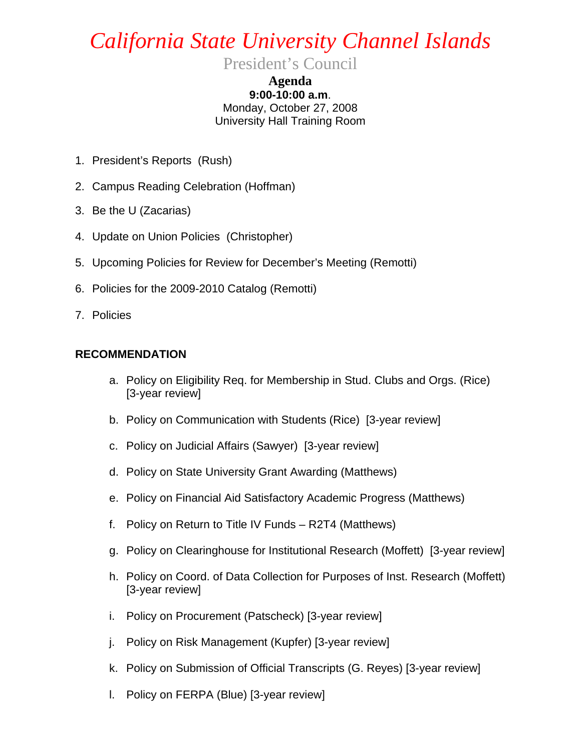## *California State University Channel Islands*

President's Council

**Agenda 9:00-10:00 a.m**. Monday, October 27, 2008 University Hall Training Room

- 1. President's Reports (Rush)
- 2. Campus Reading Celebration (Hoffman)
- 3. Be the U (Zacarias)
- 4. Update on Union Policies (Christopher)
- 5. Upcoming Policies for Review for December's Meeting (Remotti)
- 6. Policies for the 2009-2010 Catalog (Remotti)
- 7. Policies

## **RECOMMENDATION**

- a. Policy on Eligibility Req. for Membership in Stud. Clubs and Orgs. (Rice) [3-year review]
- b. Policy on Communication with Students (Rice) [3-year review]
- c. Policy on Judicial Affairs (Sawyer) [3-year review]
- d. Policy on State University Grant Awarding (Matthews)
- e. Policy on Financial Aid Satisfactory Academic Progress (Matthews)
- f. Policy on Return to Title IV Funds R2T4 (Matthews)
- g. Policy on Clearinghouse for Institutional Research (Moffett) [3-year review]
- h. Policy on Coord. of Data Collection for Purposes of Inst. Research (Moffett) [3-year review]
- i. Policy on Procurement (Patscheck) [3-year review]
- j. Policy on Risk Management (Kupfer) [3-year review]
- k. Policy on Submission of Official Transcripts (G. Reyes) [3-year review]
- l. Policy on FERPA (Blue) [3-year review]